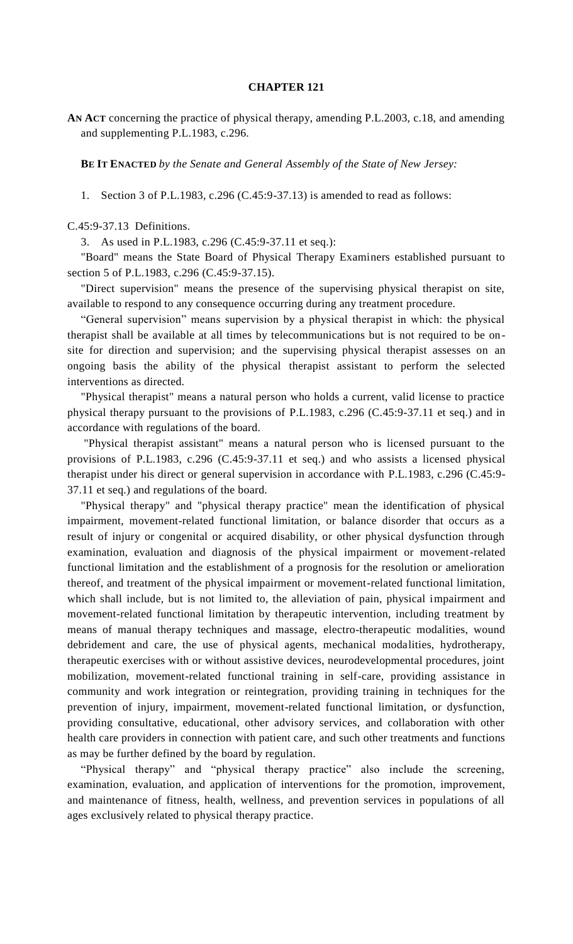## **CHAPTER 121**

**AN ACT** concerning the practice of physical therapy, amending P.L.2003, c.18, and amending and supplementing P.L.1983, c.296.

**BE IT ENACTED** *by the Senate and General Assembly of the State of New Jersey:*

1. Section 3 of P.L.1983, c.296 (C.45:9-37.13) is amended to read as follows:

C.45:9-37.13 Definitions.

3. As used in P.L.1983, c.296 (C.45:9-37.11 et seq.):

"Board" means the State Board of Physical Therapy Examiners established pursuant to section 5 of P.L.1983, c.296 (C.45:9-37.15).

"Direct supervision" means the presence of the supervising physical therapist on site, available to respond to any consequence occurring during any treatment procedure.

"General supervision" means supervision by a physical therapist in which: the physical therapist shall be available at all times by telecommunications but is not required to be onsite for direction and supervision; and the supervising physical therapist assesses on an ongoing basis the ability of the physical therapist assistant to perform the selected interventions as directed.

"Physical therapist" means a natural person who holds a current, valid license to practice physical therapy pursuant to the provisions of P.L.1983, c.296 (C.45:9-37.11 et seq.) and in accordance with regulations of the board.

"Physical therapist assistant" means a natural person who is licensed pursuant to the provisions of P.L.1983, c.296 (C.45:9-37.11 et seq.) and who assists a licensed physical therapist under his direct or general supervision in accordance with P.L.1983, c.296 (C.45:9- 37.11 et seq.) and regulations of the board.

"Physical therapy" and "physical therapy practice" mean the identification of physical impairment, movement-related functional limitation, or balance disorder that occurs as a result of injury or congenital or acquired disability, or other physical dysfunction through examination, evaluation and diagnosis of the physical impairment or movement-related functional limitation and the establishment of a prognosis for the resolution or amelioration thereof, and treatment of the physical impairment or movement-related functional limitation, which shall include, but is not limited to, the alleviation of pain, physical impairment and movement-related functional limitation by therapeutic intervention, including treatment by means of manual therapy techniques and massage, electro-therapeutic modalities, wound debridement and care, the use of physical agents, mechanical modalities, hydrotherapy, therapeutic exercises with or without assistive devices, neurodevelopmental procedures, joint mobilization, movement-related functional training in self-care, providing assistance in community and work integration or reintegration, providing training in techniques for the prevention of injury, impairment, movement-related functional limitation, or dysfunction, providing consultative, educational, other advisory services, and collaboration with other health care providers in connection with patient care, and such other treatments and functions as may be further defined by the board by regulation.

"Physical therapy" and "physical therapy practice" also include the screening, examination, evaluation, and application of interventions for the promotion, improvement, and maintenance of fitness, health, wellness, and prevention services in populations of all ages exclusively related to physical therapy practice.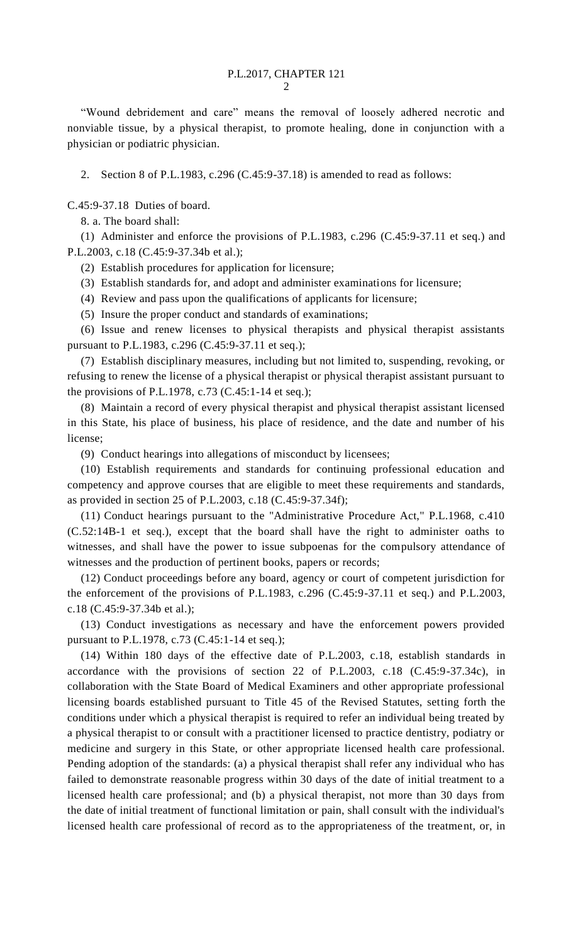"Wound debridement and care" means the removal of loosely adhered necrotic and nonviable tissue, by a physical therapist, to promote healing, done in conjunction with a physician or podiatric physician.

2. Section 8 of P.L.1983, c.296 (C.45:9-37.18) is amended to read as follows:

C.45:9-37.18 Duties of board.

8. a. The board shall:

(1) Administer and enforce the provisions of P.L.1983, c.296 (C.45:9-37.11 et seq.) and P.L.2003, c.18 (C.45:9-37.34b et al.);

- (2) Establish procedures for application for licensure;
- (3) Establish standards for, and adopt and administer examinations for licensure;
- (4) Review and pass upon the qualifications of applicants for licensure;
- (5) Insure the proper conduct and standards of examinations;

(6) Issue and renew licenses to physical therapists and physical therapist assistants pursuant to P.L.1983, c.296 (C.45:9-37.11 et seq.);

(7) Establish disciplinary measures, including but not limited to, suspending, revoking, or refusing to renew the license of a physical therapist or physical therapist assistant pursuant to the provisions of P.L.1978, c.73 (C.45:1-14 et seq.);

(8) Maintain a record of every physical therapist and physical therapist assistant licensed in this State, his place of business, his place of residence, and the date and number of his license;

(9) Conduct hearings into allegations of misconduct by licensees;

(10) Establish requirements and standards for continuing professional education and competency and approve courses that are eligible to meet these requirements and standards, as provided in section 25 of P.L.2003, c.18 (C.45:9-37.34f);

(11) Conduct hearings pursuant to the "Administrative Procedure Act," P.L.1968, c.410 (C.52:14B-1 et seq.), except that the board shall have the right to administer oaths to witnesses, and shall have the power to issue subpoenas for the compulsory attendance of witnesses and the production of pertinent books, papers or records;

(12) Conduct proceedings before any board, agency or court of competent jurisdiction for the enforcement of the provisions of P.L.1983, c.296 (C.45:9-37.11 et seq.) and P.L.2003, c.18 (C.45:9-37.34b et al.);

(13) Conduct investigations as necessary and have the enforcement powers provided pursuant to P.L.1978, c.73 (C.45:1-14 et seq.);

(14) Within 180 days of the effective date of P.L.2003, c.18, establish standards in accordance with the provisions of section 22 of P.L.2003, c.18 (C.45:9-37.34c), in collaboration with the State Board of Medical Examiners and other appropriate professional licensing boards established pursuant to Title 45 of the Revised Statutes, setting forth the conditions under which a physical therapist is required to refer an individual being treated by a physical therapist to or consult with a practitioner licensed to practice dentistry, podiatry or medicine and surgery in this State, or other appropriate licensed health care professional. Pending adoption of the standards: (a) a physical therapist shall refer any individual who has failed to demonstrate reasonable progress within 30 days of the date of initial treatment to a licensed health care professional; and (b) a physical therapist, not more than 30 days from the date of initial treatment of functional limitation or pain, shall consult with the individual's licensed health care professional of record as to the appropriateness of the treatment, or, in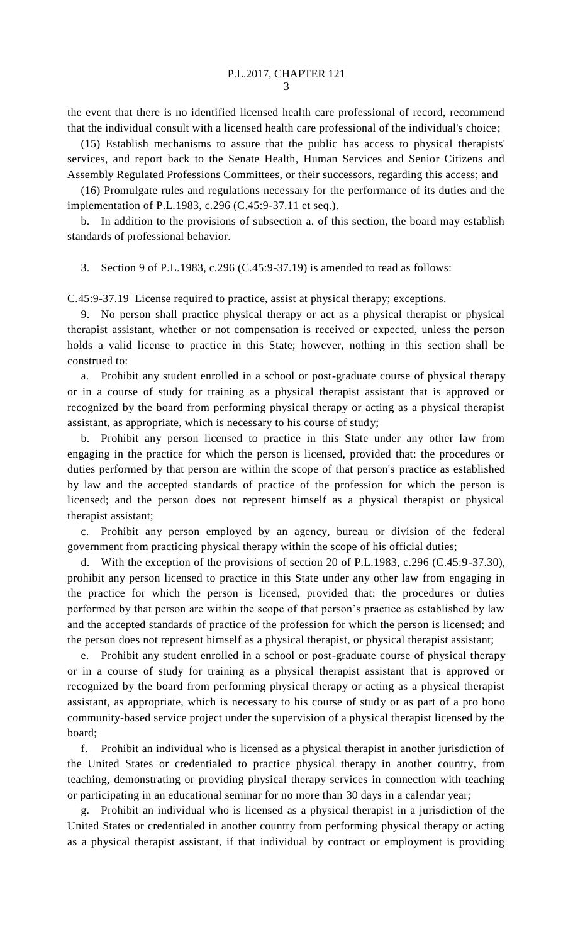the event that there is no identified licensed health care professional of record, recommend that the individual consult with a licensed health care professional of the individual's choice;

(15) Establish mechanisms to assure that the public has access to physical therapists' services, and report back to the Senate Health, Human Services and Senior Citizens and Assembly Regulated Professions Committees, or their successors, regarding this access; and

(16) Promulgate rules and regulations necessary for the performance of its duties and the implementation of P.L.1983, c.296 (C.45:9-37.11 et seq.).

b. In addition to the provisions of subsection a. of this section, the board may establish standards of professional behavior.

3. Section 9 of P.L.1983, c.296 (C.45:9-37.19) is amended to read as follows:

C.45:9-37.19 License required to practice, assist at physical therapy; exceptions.

9. No person shall practice physical therapy or act as a physical therapist or physical therapist assistant, whether or not compensation is received or expected, unless the person holds a valid license to practice in this State; however, nothing in this section shall be construed to:

a. Prohibit any student enrolled in a school or post-graduate course of physical therapy or in a course of study for training as a physical therapist assistant that is approved or recognized by the board from performing physical therapy or acting as a physical therapist assistant, as appropriate, which is necessary to his course of study;

b. Prohibit any person licensed to practice in this State under any other law from engaging in the practice for which the person is licensed, provided that: the procedures or duties performed by that person are within the scope of that person's practice as established by law and the accepted standards of practice of the profession for which the person is licensed; and the person does not represent himself as a physical therapist or physical therapist assistant;

c. Prohibit any person employed by an agency, bureau or division of the federal government from practicing physical therapy within the scope of his official duties;

With the exception of the provisions of section 20 of P.L.1983, c.296 (C.45:9-37.30), prohibit any person licensed to practice in this State under any other law from engaging in the practice for which the person is licensed, provided that: the procedures or duties performed by that person are within the scope of that person's practice as established by law and the accepted standards of practice of the profession for which the person is licensed; and the person does not represent himself as a physical therapist, or physical therapist assistant;

e. Prohibit any student enrolled in a school or post-graduate course of physical therapy or in a course of study for training as a physical therapist assistant that is approved or recognized by the board from performing physical therapy or acting as a physical therapist assistant, as appropriate, which is necessary to his course of study or as part of a pro bono community-based service project under the supervision of a physical therapist licensed by the board;

f. Prohibit an individual who is licensed as a physical therapist in another jurisdiction of the United States or credentialed to practice physical therapy in another country, from teaching, demonstrating or providing physical therapy services in connection with teaching or participating in an educational seminar for no more than 30 days in a calendar year;

g. Prohibit an individual who is licensed as a physical therapist in a jurisdiction of the United States or credentialed in another country from performing physical therapy or acting as a physical therapist assistant, if that individual by contract or employment is providing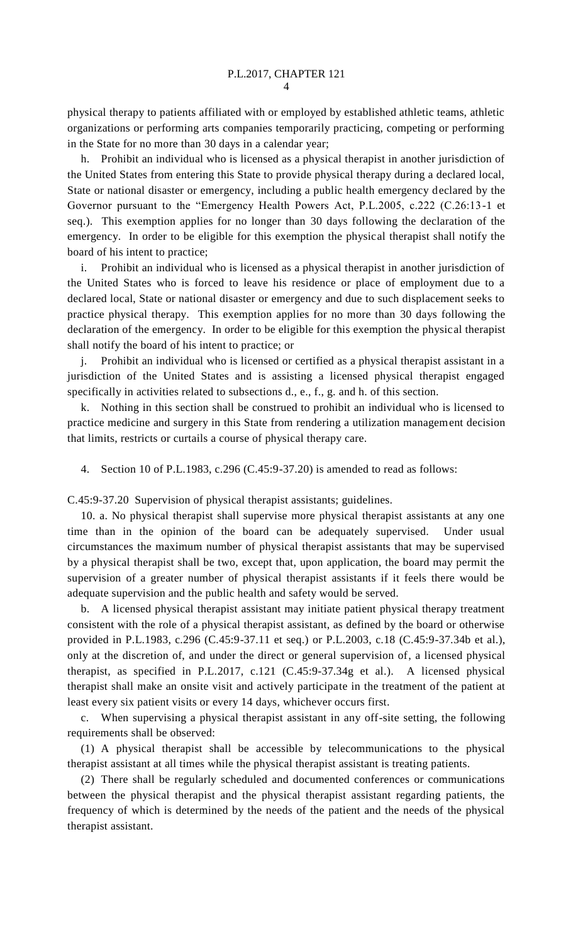physical therapy to patients affiliated with or employed by established athletic teams, athletic organizations or performing arts companies temporarily practicing, competing or performing in the State for no more than 30 days in a calendar year;

h. Prohibit an individual who is licensed as a physical therapist in another jurisdiction of the United States from entering this State to provide physical therapy during a declared local, State or national disaster or emergency, including a public health emergency declared by the Governor pursuant to the "Emergency Health Powers Act, P.L.2005, c.222 (C.26:13-1 et seq.). This exemption applies for no longer than 30 days following the declaration of the emergency. In order to be eligible for this exemption the physical therapist shall notify the board of his intent to practice;

i. Prohibit an individual who is licensed as a physical therapist in another jurisdiction of the United States who is forced to leave his residence or place of employment due to a declared local, State or national disaster or emergency and due to such displacement seeks to practice physical therapy. This exemption applies for no more than 30 days following the declaration of the emergency. In order to be eligible for this exemption the physical therapist shall notify the board of his intent to practice; or

j. Prohibit an individual who is licensed or certified as a physical therapist assistant in a jurisdiction of the United States and is assisting a licensed physical therapist engaged specifically in activities related to subsections d., e., f., g. and h. of this section.

k. Nothing in this section shall be construed to prohibit an individual who is licensed to practice medicine and surgery in this State from rendering a utilization management decision that limits, restricts or curtails a course of physical therapy care.

4. Section 10 of P.L.1983, c.296 (C.45:9-37.20) is amended to read as follows:

C.45:9-37.20 Supervision of physical therapist assistants; guidelines.

10. a. No physical therapist shall supervise more physical therapist assistants at any one time than in the opinion of the board can be adequately supervised. Under usual circumstances the maximum number of physical therapist assistants that may be supervised by a physical therapist shall be two, except that, upon application, the board may permit the supervision of a greater number of physical therapist assistants if it feels there would be adequate supervision and the public health and safety would be served.

b. A licensed physical therapist assistant may initiate patient physical therapy treatment consistent with the role of a physical therapist assistant, as defined by the board or otherwise provided in P.L.1983, c.296 (C.45:9-37.11 et seq.) or P.L.2003, c.18 (C.45:9-37.34b et al.), only at the discretion of, and under the direct or general supervision of, a licensed physical therapist, as specified in P.L.2017, c.121 (C.45:9-37.34g et al.). A licensed physical therapist shall make an onsite visit and actively participate in the treatment of the patient at least every six patient visits or every 14 days, whichever occurs first.

c. When supervising a physical therapist assistant in any off-site setting, the following requirements shall be observed:

(1) A physical therapist shall be accessible by telecommunications to the physical therapist assistant at all times while the physical therapist assistant is treating patients.

(2) There shall be regularly scheduled and documented conferences or communications between the physical therapist and the physical therapist assistant regarding patients, the frequency of which is determined by the needs of the patient and the needs of the physical therapist assistant.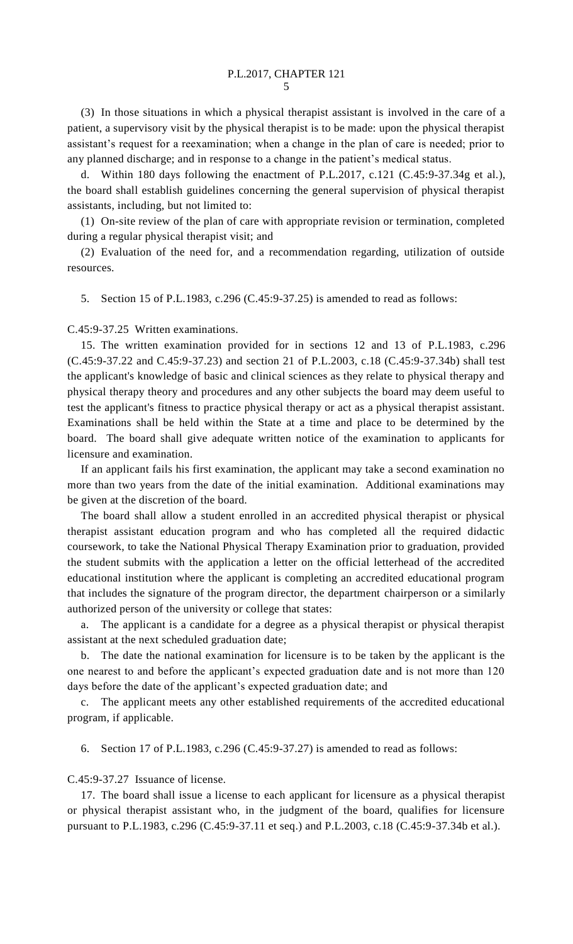(3) In those situations in which a physical therapist assistant is involved in the care of a patient, a supervisory visit by the physical therapist is to be made: upon the physical therapist assistant's request for a reexamination; when a change in the plan of care is needed; prior to any planned discharge; and in response to a change in the patient's medical status.

d. Within 180 days following the enactment of P.L.2017, c.121 (C.45:9-37.34g et al.), the board shall establish guidelines concerning the general supervision of physical therapist assistants, including, but not limited to:

(1) On-site review of the plan of care with appropriate revision or termination, completed during a regular physical therapist visit; and

(2) Evaluation of the need for, and a recommendation regarding, utilization of outside resources.

5. Section 15 of P.L.1983, c.296 (C.45:9-37.25) is amended to read as follows:

## C.45:9-37.25 Written examinations.

15. The written examination provided for in sections 12 and 13 of P.L.1983, c.296 (C.45:9-37.22 and C.45:9-37.23) and section 21 of P.L.2003, c.18 (C.45:9-37.34b) shall test the applicant's knowledge of basic and clinical sciences as they relate to physical therapy and physical therapy theory and procedures and any other subjects the board may deem useful to test the applicant's fitness to practice physical therapy or act as a physical therapist assistant. Examinations shall be held within the State at a time and place to be determined by the board. The board shall give adequate written notice of the examination to applicants for licensure and examination.

If an applicant fails his first examination, the applicant may take a second examination no more than two years from the date of the initial examination. Additional examinations may be given at the discretion of the board.

The board shall allow a student enrolled in an accredited physical therapist or physical therapist assistant education program and who has completed all the required didactic coursework, to take the National Physical Therapy Examination prior to graduation, provided the student submits with the application a letter on the official letterhead of the accredited educational institution where the applicant is completing an accredited educational program that includes the signature of the program director, the department chairperson or a similarly authorized person of the university or college that states:

a. The applicant is a candidate for a degree as a physical therapist or physical therapist assistant at the next scheduled graduation date;

b. The date the national examination for licensure is to be taken by the applicant is the one nearest to and before the applicant's expected graduation date and is not more than 120 days before the date of the applicant's expected graduation date; and

c. The applicant meets any other established requirements of the accredited educational program, if applicable.

6. Section 17 of P.L.1983, c.296 (C.45:9-37.27) is amended to read as follows:

C.45:9-37.27 Issuance of license.

17. The board shall issue a license to each applicant for licensure as a physical therapist or physical therapist assistant who, in the judgment of the board, qualifies for licensure pursuant to P.L.1983, c.296 (C.45:9-37.11 et seq.) and P.L.2003, c.18 (C.45:9-37.34b et al.).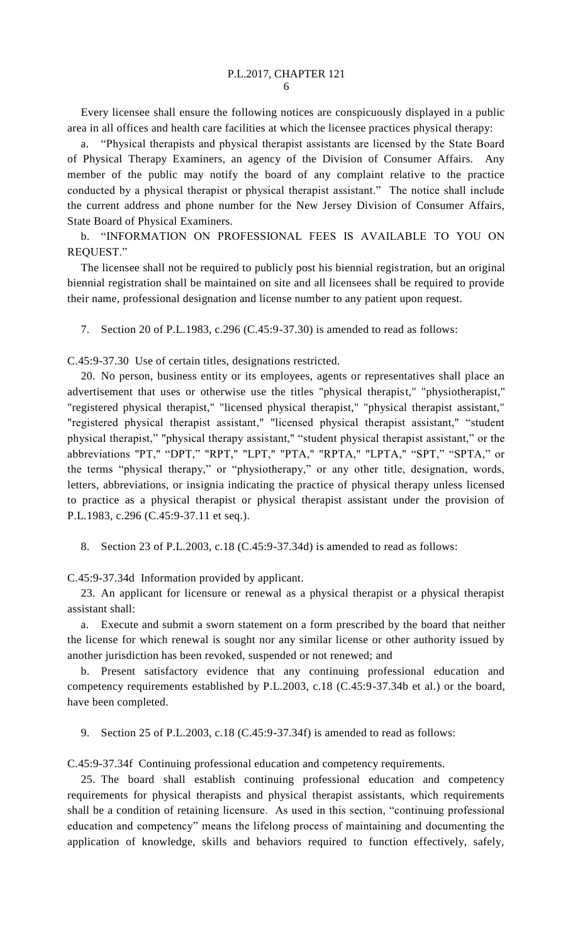Every licensee shall ensure the following notices are conspicuously displayed in a public area in all offices and health care facilities at which the licensee practices physical therapy:

a. "Physical therapists and physical therapist assistants are licensed by the State Board of Physical Therapy Examiners, an agency of the Division of Consumer Affairs. Any member of the public may notify the board of any complaint relative to the practice conducted by a physical therapist or physical therapist assistant." The notice shall include the current address and phone number for the New Jersey Division of Consumer Affairs, State Board of Physical Examiners.

b. "INFORMATION ON PROFESSIONAL FEES IS AVAILABLE TO YOU ON REQUEST."

The licensee shall not be required to publicly post his biennial registration, but an original biennial registration shall be maintained on site and all licensees shall be required to provide their name, professional designation and license number to any patient upon request.

7. Section 20 of P.L.1983, c.296 (C.45:9-37.30) is amended to read as follows:

C.45:9-37.30 Use of certain titles, designations restricted.

20. No person, business entity or its employees, agents or representatives shall place an advertisement that uses or otherwise use the titles "physical therapist," "physiotherapist," "registered physical therapist," "licensed physical therapist," "physical therapist assistant," "registered physical therapist assistant," "licensed physical therapist assistant," "student physical therapist," "physical therapy assistant," "student physical therapist assistant," or the abbreviations "PT," "DPT," "RPT," "LPT," "PTA," "RPTA," "LPTA," "SPT," "SPTA," or the terms "physical therapy," or "physiotherapy," or any other title, designation, words, letters, abbreviations, or insignia indicating the practice of physical therapy unless licensed to practice as a physical therapist or physical therapist assistant under the provision of P.L.1983, c.296 (C.45:9-37.11 et seq.).

8. Section 23 of P.L.2003, c.18 (C.45:9-37.34d) is amended to read as follows:

C.45:9-37.34d Information provided by applicant.

23. An applicant for licensure or renewal as a physical therapist or a physical therapist assistant shall:

a. Execute and submit a sworn statement on a form prescribed by the board that neither the license for which renewal is sought nor any similar license or other authority issued by another jurisdiction has been revoked, suspended or not renewed; and

b. Present satisfactory evidence that any continuing professional education and competency requirements established by P.L.2003, c.18 (C.45:9-37.34b et al.) or the board, have been completed.

9. Section 25 of P.L.2003, c.18 (C.45:9-37.34f) is amended to read as follows:

C.45:9-37.34f Continuing professional education and competency requirements.

25. The board shall establish continuing professional education and competency requirements for physical therapists and physical therapist assistants, which requirements shall be a condition of retaining licensure. As used in this section, "continuing professional education and competency" means the lifelong process of maintaining and documenting the application of knowledge, skills and behaviors required to function effectively, safely,